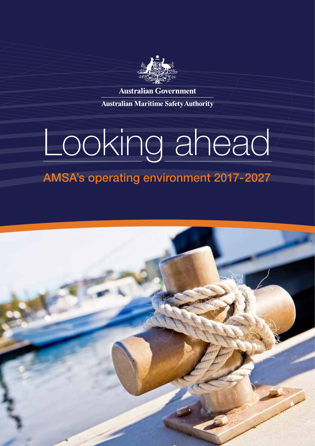

**Australian Government Australian Maritime Safety Authority** 

# Looking ahead

### AMSA's operating environment 2017-2027

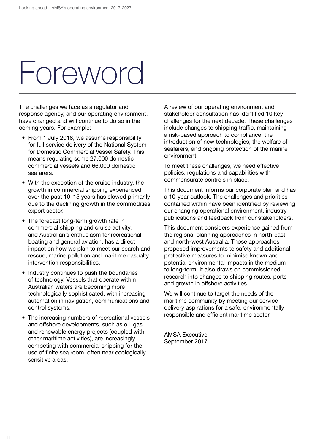### Foreword

The challenges we face as a regulator and response agency, and our operating environment, have changed and will continue to do so in the coming years. For example:

- From 1 July 2018, we assume responsibility for full service delivery of the National System for Domestic Commercial Vessel Safety. This means regulating some 27,000 domestic commercial vessels and 66,000 domestic seafarers.
- With the exception of the cruise industry, the growth in commercial shipping experienced over the past 10–15 years has slowed primarily due to the declining growth in the commodities export sector.
- The forecast long-term growth rate in commercial shipping and cruise activity, and Australian's enthusiasm for recreational boating and general aviation, has a direct impact on how we plan to meet our search and rescue, marine pollution and maritime casualty intervention responsibilities.
- Industry continues to push the boundaries of technology. Vessels that operate within Australian waters are becoming more technologically sophisticated, with increasing automation in navigation, communications and control systems.
- The increasing numbers of recreational vessels and offshore developments, such as oil, gas and renewable energy projects (coupled with other maritime activities), are increasingly competing with commercial shipping for the use of finite sea room, often near ecologically sensitive areas.

A review of our operating environment and stakeholder consultation has identified 10 key challenges for the next decade. These challenges include changes to shipping traffic, maintaining a risk-based approach to compliance, the introduction of new technologies, the welfare of seafarers, and ongoing protection of the marine environment.

To meet these challenges, we need effective policies, regulations and capabilities with commensurate controls in place.

This document informs our corporate plan and has a 10-year outlook. The challenges and priorities contained within have been identified by reviewing our changing operational environment, industry publications and feedback from our stakeholders.

This document considers experience gained from the regional planning approaches in north-east and north-west Australia. Those approaches proposed improvements to safety and additional protective measures to minimise known and potential environmental impacts in the medium to long-term. It also draws on commissioned research into changes to shipping routes, ports and growth in offshore activities.

We will continue to target the needs of the maritime community by meeting our service delivery aspirations for a safe, environmentally responsible and efficient maritime sector.

AMSA Executive September 2017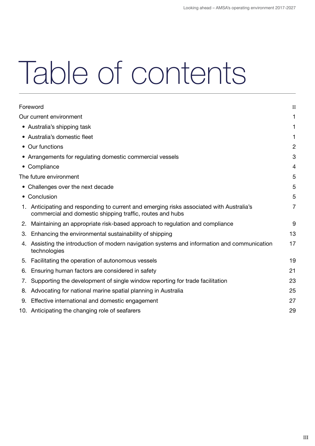### Table of contents

|    | Foreword                                                                                                                                              | $\mathbf{I}$   |
|----|-------------------------------------------------------------------------------------------------------------------------------------------------------|----------------|
|    | Our current environment                                                                                                                               | 1              |
|    | • Australia's shipping task                                                                                                                           | 1              |
|    | • Australia's domestic fleet                                                                                                                          | 1              |
|    | • Our functions                                                                                                                                       | $\overline{c}$ |
|    | • Arrangements for regulating domestic commercial vessels                                                                                             | 3              |
|    | • Compliance                                                                                                                                          | 4              |
|    | The future environment                                                                                                                                | 5              |
|    | • Challenges over the next decade                                                                                                                     | 5              |
|    | • Conclusion                                                                                                                                          | 5              |
|    | 1. Anticipating and responding to current and emerging risks associated with Australia's<br>commercial and domestic shipping traffic, routes and hubs | 7              |
|    | 2. Maintaining an appropriate risk-based approach to regulation and compliance                                                                        | 9              |
| 3. | Enhancing the environmental sustainability of shipping                                                                                                | 13             |
|    | 4. Assisting the introduction of modern navigation systems and information and communication<br>technologies                                          | 17             |
|    | 5. Facilitating the operation of autonomous vessels                                                                                                   | 19             |
| 6. | Ensuring human factors are considered in safety                                                                                                       | 21             |
| 7. | Supporting the development of single window reporting for trade facilitation                                                                          | 23             |
|    | 8. Advocating for national marine spatial planning in Australia                                                                                       | 25             |
|    | 9. Effective international and domestic engagement                                                                                                    | 27             |
|    | 10. Anticipating the changing role of seafarers                                                                                                       | 29             |
|    |                                                                                                                                                       |                |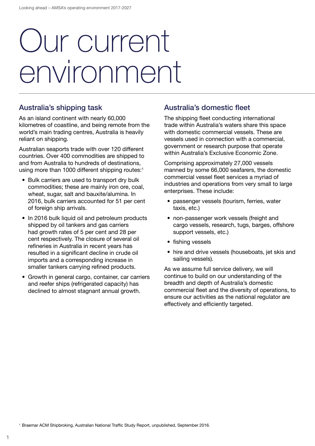### Our current environment

#### Australia's shipping task

As an island continent with nearly 60,000 kilometres of coastline, and being remote from the world's main trading centres, Australia is heavily reliant on shipping.

Australian seaports trade with over 120 different countries. Over 400 commodities are shipped to and from Australia to hundreds of destinations, using more than 1000 different shipping routes:<sup>1</sup>

- Bulk carriers are used to transport dry bulk commodities; these are mainly iron ore, coal, wheat, sugar, salt and bauxite/alumina. In 2016, bulk carriers accounted for 51 per cent of foreign ship arrivals.
- In 2016 bulk liquid oil and petroleum products shipped by oil tankers and gas carriers had growth rates of 5 per cent and 28 per cent respectively. The closure of several oil refineries in Australia in recent years has resulted in a significant decline in crude oil imports and a corresponding increase in smaller tankers carrying refined products.
- Growth in general cargo, container, car carriers and reefer ships (refrigerated capacity) has declined to almost stagnant annual growth.

### Australia's domestic fleet

The shipping fleet conducting international trade within Australia's waters share this space with domestic commercial vessels. These are vessels used in connection with a commercial, government or research purpose that operate within Australia's Exclusive Economic Zone.

Comprising approximately 27,000 vessels manned by some 66,000 seafarers, the domestic commercial vessel fleet services a myriad of industries and operations from very small to large enterprises. These include:

- passenger vessels (tourism, ferries, water taxis, etc.)
- non-passenger work vessels (freight and cargo vessels, research, tugs, barges, offshore support vessels, etc.)
- fishing vessels
- hire and drive vessels (houseboats, jet skis and sailing vessels).

As we assume full service delivery, we will continue to build on our understanding of the breadth and depth of Australia's domestic commercial fleet and the diversity of operations, to ensure our activities as the national regulator are effectively and efficiently targeted.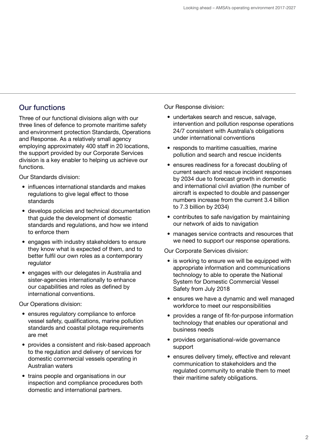### Our functions

Three of our functional divisions align with our three lines of defence to promote maritime safety and environment protection Standards, Operations and Response. As a relatively small agency employing approximately 400 staff in 20 locations, the support provided by our Corporate Services division is a key enabler to helping us achieve our functions.

Our Standards division:

- influences international standards and makes regulations to give legal effect to those standards
- develops policies and technical documentation that guide the development of domestic standards and regulations, and how we intend to enforce them
- engages with industry stakeholders to ensure they know what is expected of them, and to better fulfil our own roles as a contemporary regulator
- engages with our delegates in Australia and sister-agencies internationally to enhance our capabilities and roles as defined by international conventions.

Our Operations division:

- ensures regulatory compliance to enforce vessel safety, qualifications, marine pollution standards and coastal pilotage requirements are met
- provides a consistent and risk-based approach to the regulation and delivery of services for domestic commercial vessels operating in Australian waters
- trains people and organisations in our inspection and compliance procedures both domestic and international partners.

Our Response division:

- undertakes search and rescue, salvage, intervention and pollution response operations 24/7 consistent with Australia's obligations under international conventions
- responds to maritime casualties, marine pollution and search and rescue incidents
- ensures readiness for a forecast doubling of current search and rescue incident responses by 2034 due to forecast growth in domestic and international civil aviation (the number of aircraft is expected to double and passenger numbers increase from the current 3.4 billion to 7.3 billion by 2034)
- contributes to safe navigation by maintaining our network of aids to navigation
- manages service contracts and resources that we need to support our response operations.

Our Corporate Services division:

- is working to ensure we will be equipped with appropriate information and communications technology to able to operate the National System for Domestic Commercial Vessel Safety from July 2018
- ensures we have a dynamic and well managed workforce to meet our responsibilities
- provides a range of fit-for-purpose information technology that enables our operational and business needs
- provides organisational-wide governance support
- ensures delivery timely, effective and relevant communication to stakeholders and the regulated community to enable them to meet their maritime safety obligations.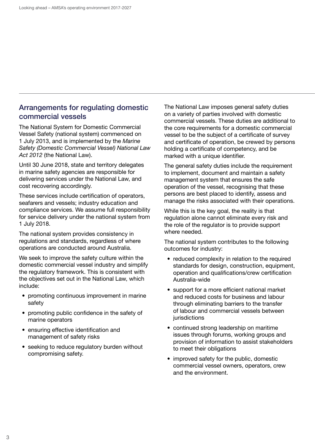### Arrangements for regulating domestic commercial vessels

The National System for Domestic Commercial Vessel Safety (national system) commenced on 1 July 2013, and is implemented by the *Marine Safety (Domestic Commercial Vessel) National Law Act 2012* (the National Law).

Until 30 June 2018, state and territory delegates in marine safety agencies are responsible for delivering services under the National Law, and cost recovering accordingly.

These services include certification of operators, seafarers and vessels; industry education and compliance services. We assume full responsibility for service delivery under the national system from 1 July 2018.

The national system provides consistency in regulations and standards, regardless of where operations are conducted around Australia.

We seek to improve the safety culture within the domestic commercial vessel industry and simplify the regulatory framework. This is consistent with the objectives set out in the National Law, which include:

- promoting continuous improvement in marine safety
- promoting public confidence in the safety of marine operators
- ensuring effective identification and management of safety risks
- seeking to reduce regulatory burden without compromising safety.

The National Law imposes general safety duties on a variety of parties involved with domestic commercial vessels. These duties are additional to the core requirements for a domestic commercial vessel to be the subject of a certificate of survey and certificate of operation, be crewed by persons holding a certificate of competency, and be marked with a unique identifier.

The general safety duties include the requirement to implement, document and maintain a safety management system that ensures the safe operation of the vessel, recognising that these persons are best placed to identify, assess and manage the risks associated with their operations.

While this is the key goal, the reality is that regulation alone cannot eliminate every risk and the role of the regulator is to provide support where needed.

The national system contributes to the following outcomes for industry:

- reduced complexity in relation to the required standards for design, construction, equipment, operation and qualifications/crew certification Australia-wide
- support for a more efficient national market and reduced costs for business and labour through eliminating barriers to the transfer of labour and commercial vessels between iurisdictions
- continued strong leadership on maritime issues through forums, working groups and provision of information to assist stakeholders to meet their obligations
- improved safety for the public, domestic commercial vessel owners, operators, crew and the environment.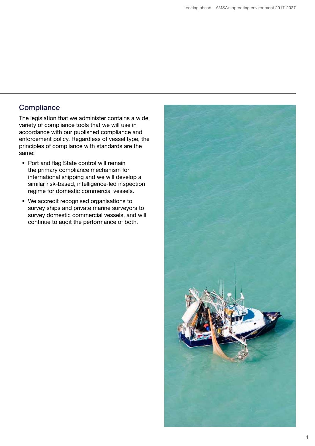### **Compliance**

The legislation that we administer contains a wide variety of compliance tools that we will use in accordance with our published compliance and enforcement policy. Regardless of vessel type, the principles of compliance with standards are the same:

- Port and flag State control will remain the primary compliance mechanism for international shipping and we will develop a similar risk-based, intelligence-led inspection regime for domestic commercial vessels.
- We accredit recognised organisations to survey ships and private marine surveyors to survey domestic commercial vessels, and will continue to audit the performance of both.

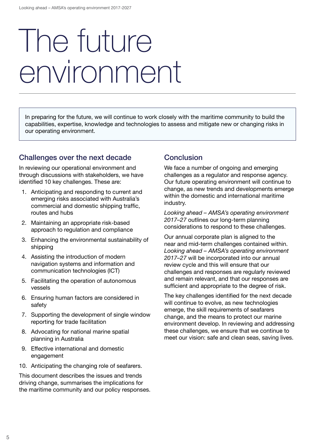### The future environment

In preparing for the future, we will continue to work closely with the maritime community to build the capabilities, expertise, knowledge and technologies to assess and mitigate new or changing risks in our operating environment.

### Challenges over the next decade

In reviewing our operational environment and through discussions with stakeholders, we have identified 10 key challenges. These are:

- 1. Anticipating and responding to current and emerging risks associated with Australia's commercial and domestic shipping traffic, routes and hubs
- 2. Maintaining an appropriate risk-based approach to regulation and compliance
- 3. Enhancing the environmental sustainability of shipping
- 4. Assisting the introduction of modern navigation systems and information and communication technologies (ICT)
- 5. Facilitating the operation of autonomous vessels
- 6. Ensuring human factors are considered in safety
- 7. Supporting the development of single window reporting for trade facilitation
- 8. Advocating for national marine spatial planning in Australia
- 9. Effective international and domestic engagement
- 10. Anticipating the changing role of seafarers.

This document describes the issues and trends driving change, summarises the implications for the maritime community and our policy responses.

### Conclusion

We face a number of ongoing and emerging challenges as a regulator and response agency. Our future operating environment will continue to change, as new trends and developments emerge within the domestic and international maritime industry.

*Looking ahead – AMSA's operating environment 2017–27* outlines our long-term planning considerations to respond to these challenges.

Our annual corporate plan is aligned to the near and mid-term challenges contained within. *Looking ahead – AMSA's operating environment 2017–27* will be incorporated into our annual review cycle and this will ensure that our challenges and responses are regularly reviewed and remain relevant, and that our responses are sufficient and appropriate to the degree of risk.

The key challenges identified for the next decade will continue to evolve, as new technologies emerge, the skill requirements of seafarers change, and the means to protect our marine environment develop. In reviewing and addressing these challenges, we ensure that we continue to meet our vision: safe and clean seas, saving lives.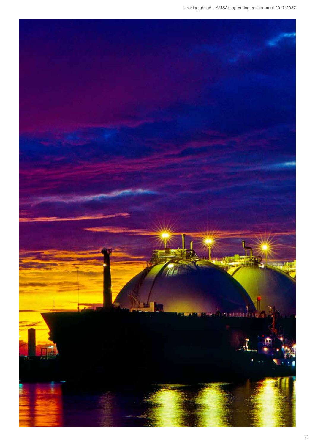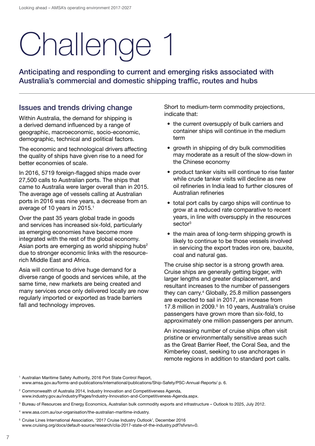Anticipating and responding to current and emerging risks associated with Australia's commercial and domestic shipping traffic, routes and hubs

#### Issues and trends driving change

Within Australia, the demand for shipping is a derived demand influenced by a range of geographic, macroeconomic, socio-economic, demographic, technical and political factors.

The economic and technological drivers affecting the quality of ships have given rise to a need for better economies of scale.

In 2016, 5719 foreign-flagged ships made over 27,500 calls to Australian ports. The ships that came to Australia were larger overall than in 2015. The average age of vessels calling at Australian ports in 2016 was nine years, a decrease from an average of 10 years in 2015.1

Over the past 35 years global trade in goods and services has increased six-fold, particularly as emerging economies have become more integrated with the rest of the global economy. Asian ports are emerging as world shipping hubs<sup>2</sup> due to stronger economic links with the resourcerich Middle East and Africa.

Asia will continue to drive huge demand for a diverse range of goods and services while, at the same time, new markets are being created and many services once only delivered locally are now regularly imported or exported as trade barriers fall and technology improves.

Short to medium-term commodity projections, indicate that:

- the current oversupply of bulk carriers and container ships will continue in the medium term
- growth in shipping of dry bulk commodities may moderate as a result of the slow-down in the Chinese economy
- product tanker visits will continue to rise faster while crude tanker visits will decline as new oil refineries in India lead to further closures of Australian refineries
- total port calls by cargo ships will continue to grow at a reduced rate comparative to recent years, in line with oversupply in the resources sector<sup>3</sup>
- the main area of long-term shipping growth is likely to continue to be those vessels involved in servicing the export trades iron ore, bauxite, coal and natural gas.

The cruise ship sector is a strong growth area. Cruise ships are generally getting bigger, with larger lengths and greater displacement, and resultant increases to the number of passengers they can carry.4 Globally, 25.8 million passengers are expected to sail in 2017, an increase from 17.8 million in 2009.<sup>5</sup> In 10 years, Australia's cruise passengers have grown more than six-fold, to approximately one million passengers per annum.

An increasing number of cruise ships often visit pristine or environmentally sensitive areas such as the Great Barrier Reef, the Coral Sea, and the Kimberley coast, seeking to use anchorages in remote regions in addition to standard port calls.

<sup>1</sup> Australian Maritime Safety Authority, 2016 Port State Control Report, www.amsa.gov.au/forms-and-publications/international/publications/Ship-Safety/PSC-Annual-Reports/ p. 6.

- <sup>2</sup> Commonwealth of Australia 2014, Industry Innovation and Competitiveness Agenda, www.industry.gov.au/industry/Pages/Industry-Innovation-and-Competitiveness-Agenda.aspx.
- <sup>3</sup> Bureau of Resources and Energy Economics, Australian bulk commodity exports and infrastructure Outlook to 2025, July 2012.
- <sup>4</sup> www.asa.com.au/our-organisation/the-australian-maritime-industry.
- <sup>5</sup> Cruise Lines International Association, '2017 Cruise Industry Outlook', December 2016 www.cruising.org/docs/default-source/research/clia-2017-state-of-the-industry.pdf?sfvrsn=0.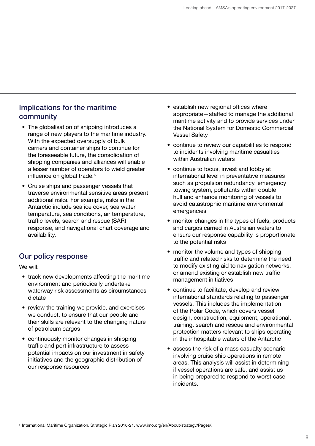### Implications for the maritime community

- The globalisation of shipping introduces a range of new players to the maritime industry. With the expected oversupply of bulk carriers and container ships to continue for the foreseeable future, the consolidation of shipping companies and alliances will enable a lesser number of operators to wield greater influence on global trade.<sup>6</sup>
- Cruise ships and passenger vessels that traverse environmental sensitive areas present additional risks. For example, risks in the Antarctic include sea ice cover, sea water temperature, sea conditions, air temperature, traffic levels, search and rescue (SAR) response, and navigational chart coverage and availability.

#### Our policy response

- track new developments affecting the maritime environment and periodically undertake waterway risk assessments as circumstances dictate
- review the training we provide, and exercises we conduct, to ensure that our people and their skills are relevant to the changing nature of petroleum cargos
- continuously monitor changes in shipping traffic and port infrastructure to assess potential impacts on our investment in safety initiatives and the geographic distribution of our response resources
- establish new regional offices where appropriate—staffed to manage the additional maritime activity and to provide services under the National System for Domestic Commercial Vessel Safety
- continue to review our capabilities to respond to incidents involving maritime casualties within Australian waters
- continue to focus, invest and lobby at international level in preventative measures such as propulsion redundancy, emergency towing system, pollutants within double hull and enhance monitoring of vessels to avoid catastrophic maritime environmental emergencies
- monitor changes in the types of fuels, products and cargos carried in Australian waters to ensure our response capability is proportionate to the potential risks
- monitor the volume and types of shipping traffic and related risks to determine the need to modify existing aid to navigation networks, or amend existing or establish new traffic management initiatives
- continue to facilitate, develop and review international standards relating to passenger vessels. This includes the implementation of the Polar Code, which covers vessel design, construction, equipment, operational, training, search and rescue and environmental protection matters relevant to ships operating in the inhospitable waters of the Antarctic
- assess the risk of a mass casualty scenario involving cruise ship operations in remote areas. This analysis will assist in determining if vessel operations are safe, and assist us in being prepared to respond to worst case incidents.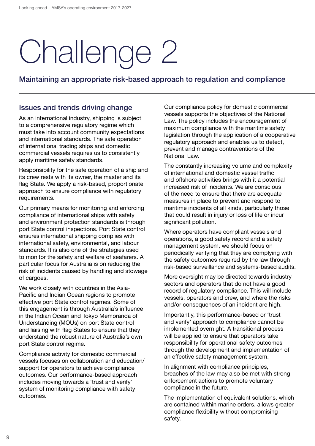Maintaining an appropriate risk-based approach to regulation and compliance

#### Issues and trends driving change

As an international industry, shipping is subject to a comprehensive regulatory regime which must take into account community expectations and international standards. The safe operation of international trading ships and domestic commercial vessels requires us to consistently apply maritime safety standards.

Responsibility for the safe operation of a ship and its crew rests with its owner, the master and its flag State. We apply a risk-based, proportionate approach to ensure compliance with regulatory requirements.

Our primary means for monitoring and enforcing compliance of international ships with safety and environment protection standards is through port State control inspections. Port State control ensures international shipping complies with international safety, environmental, and labour standards. It is also one of the strategies used to monitor the safety and welfare of seafarers. A particular focus for Australia is on reducing the risk of incidents caused by handling and stowage of cargoes.

We work closely with countries in the Asia-Pacific and Indian Ocean regions to promote effective port State control regimes. Some of this engagement is through Australia's influence in the Indian Ocean and Tokyo Memoranda of Understanding (MOUs) on port State control and liaising with flag States to ensure that they understand the robust nature of Australia's own port State control regime.

Compliance activity for domestic commercial vessels focuses on collaboration and education/ support for operators to achieve compliance outcomes. Our performance-based approach includes moving towards a 'trust and verify' system of monitoring compliance with safety outcomes.

Our compliance policy for domestic commercial vessels supports the objectives of the National Law. The policy includes the encouragement of maximum compliance with the maritime safety legislation through the application of a cooperative regulatory approach and enables us to detect, prevent and manage contraventions of the National Law.

The constantly increasing volume and complexity of international and domestic vessel traffic and offshore activities brings with it a potential increased risk of incidents. We are conscious of the need to ensure that there are adequate measures in place to prevent and respond to maritime incidents of all kinds, particularly those that could result in injury or loss of life or incur significant pollution.

Where operators have compliant vessels and operations, a good safety record and a safety management system, we should focus on periodically verifying that they are complying with the safety outcomes required by the law through risk-based surveillance and systems-based audits.

More oversight may be directed towards industry sectors and operators that do not have a good record of regulatory compliance. This will include vessels, operators and crew, and where the risks and/or consequences of an incident are high.

Importantly, this performance-based or 'trust and verify' approach to compliance cannot be implemented overnight. A transitional process will be applied to ensure that operators take responsibility for operational safety outcomes through the development and implementation of an effective safety management system.

In alignment with compliance principles, breaches of the law may also be met with strong enforcement actions to promote voluntary compliance in the future.

The implementation of equivalent solutions, which are contained within marine orders, allows greater compliance flexibility without compromising safety.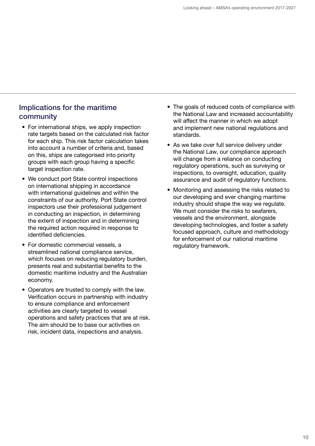### Implications for the maritime community

- For international ships, we apply inspection rate targets based on the calculated risk factor for each ship. This risk factor calculation takes into account a number of criteria and, based on this, ships are categorised into priority groups with each group having a specific target inspection rate.
- We conduct port State control inspections on international shipping in accordance with international guidelines and within the constraints of our authority. Port State control inspectors use their professional judgement in conducting an inspection, in determining the extent of inspection and in determining the required action required in response to identified deficiencies.
- For domestic commercial vessels, a streamlined national compliance service, which focuses on reducing regulatory burden, presents real and substantial benefits to the domestic maritime industry and the Australian economy.
- Operators are trusted to comply with the law. Verification occurs in partnership with industry to ensure compliance and enforcement activities are clearly targeted to vessel operations and safety practices that are at risk. The aim should be to base our activities on risk, incident data, inspections and analysis.
- The goals of reduced costs of compliance with the National Law and increased accountability will affect the manner in which we adopt and implement new national regulations and standards.
- As we take over full service delivery under the National Law, our compliance approach will change from a reliance on conducting regulatory operations, such as surveying or inspections, to oversight, education, quality assurance and audit of regulatory functions.
- Monitoring and assessing the risks related to our developing and ever changing maritime industry should shape the way we regulate. We must consider the risks to seafarers, vessels and the environment, alongside developing technologies, and foster a safety focused approach, culture and methodology for enforcement of our national maritime regulatory framework.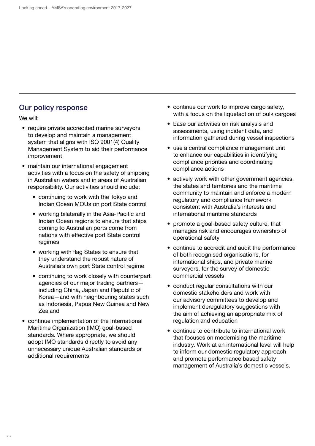### Our policy response

- require private accredited marine surveyors to develop and maintain a management system that aligns with ISO 9001(4) Quality Management System to aid their performance improvement
- maintain our international engagement activities with a focus on the safety of shipping in Australian waters and in areas of Australian responsibility. Our activities should include:
	- continuing to work with the Tokyo and Indian Ocean MOUs on port State control
	- working bilaterally in the Asia-Pacific and Indian Ocean regions to ensure that ships coming to Australian ports come from nations with effective port State control regimes
	- working with flag States to ensure that they understand the robust nature of Australia's own port State control regime
	- continuing to work closely with counterpart agencies of our major trading partners including China, Japan and Republic of Korea—and with neighbouring states such as Indonesia, Papua New Guinea and New Zealand
- continue implementation of the International Maritime Organization (IMO) goal-based standards. Where appropriate, we should adopt IMO standards directly to avoid any unnecessary unique Australian standards or additional requirements
- continue our work to improve cargo safety, with a focus on the liquefaction of bulk cargoes
- base our activities on risk analysis and assessments, using incident data, and information gathered during vessel inspections
- use a central compliance management unit to enhance our capabilities in identifying compliance priorities and coordinating compliance actions
- actively work with other government agencies, the states and territories and the maritime community to maintain and enforce a modern regulatory and compliance framework consistent with Australia's interests and international maritime standards
- promote a goal-based safety culture, that manages risk and encourages ownership of operational safety
- continue to accredit and audit the performance of both recognised organisations, for international ships, and private marine surveyors, for the survey of domestic commercial vessels
- conduct regular consultations with our domestic stakeholders and work with our advisory committees to develop and implement deregulatory suggestions with the aim of achieving an appropriate mix of regulation and education
- continue to contribute to international work that focuses on modernising the maritime industry. Work at an international level will help to inform our domestic regulatory approach and promote performance based safety management of Australia's domestic vessels.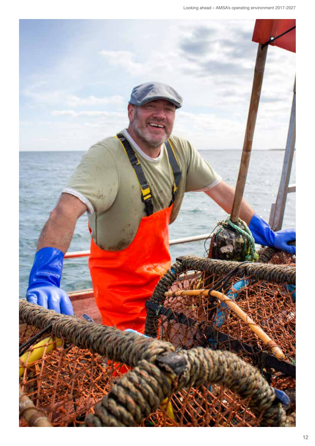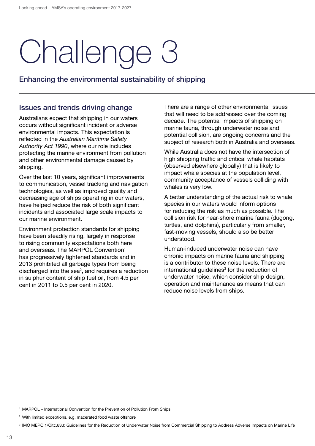Enhancing the environmental sustainability of shipping

### Issues and trends driving change

Australians expect that shipping in our waters occurs without significant incident or adverse environmental impacts. This expectation is reflected in the *Australian Maritime Safety Authority Act 1990*, where our role includes protecting the marine environment from pollution and other environmental damage caused by shipping.

Over the last 10 years, significant improvements to communication, vessel tracking and navigation technologies, as well as improved quality and decreasing age of ships operating in our waters, have helped reduce the risk of both significant incidents and associated large scale impacts to our marine environment.

Environment protection standards for shipping have been steadily rising, largely in response to rising community expectations both here and overseas. The MARPOL Convention<sup>1</sup> has progressively tightened standards and in 2013 prohibited all garbage types from being discharged into the sea $2$ , and requires a reduction in sulphur content of ship fuel oil, from 4.5 per cent in 2011 to 0.5 per cent in 2020.

There are a range of other environmental issues that will need to be addressed over the coming decade. The potential impacts of shipping on marine fauna, through underwater noise and potential collision, are ongoing concerns and the subject of research both in Australia and overseas.

While Australia does not have the intersection of high shipping traffic and critical whale habitats (observed elsewhere globally) that is likely to impact whale species at the population level, community acceptance of vessels colliding with whales is very low.

A better understanding of the actual risk to whale species in our waters would inform options for reducing the risk as much as possible. The collision risk for near-shore marine fauna (dugong, turtles, and dolphins), particularly from smaller, fast-moving vessels, should also be better understood.

Human-induced underwater noise can have chronic impacts on marine fauna and shipping is a contributor to these noise levels. There are international guidelines $3$  for the reduction of underwater noise, which consider ship design, operation and maintenance as means that can reduce noise levels from ships.

<sup>1</sup> MARPOL – International Convention for the Prevention of Pollution From Ships

<sup>2</sup> With limited exceptions, e.g. macerated food waste offshore

<sup>3</sup> IMO MEPC.1/Citc.833: Guidelines for the Reduction of Underwater Noise from Commercial Shipping to Address Adverse Impacts on Marine Life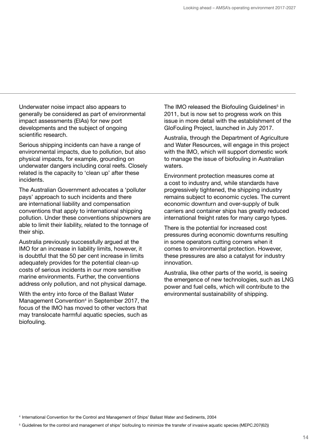Underwater noise impact also appears to generally be considered as part of environmental impact assessments (EIAs) for new port developments and the subject of ongoing scientific research.

Serious shipping incidents can have a range of environmental impacts, due to pollution, but also physical impacts, for example, grounding on underwater dangers including coral reefs. Closely related is the capacity to 'clean up' after these incidents.

The Australian Government advocates a 'polluter pays' approach to such incidents and there are international liability and compensation conventions that apply to international shipping pollution. Under these conventions shipowners are able to limit their liability, related to the tonnage of their ship.

Australia previously successfully argued at the IMO for an increase in liability limits, however, it is doubtful that the 50 per cent increase in limits adequately provides for the potential clean-up costs of serious incidents in our more sensitive marine environments. Further, the conventions address only pollution, and not physical damage.

With the entry into force of the Ballast Water Management Convention<sup>4</sup> in September 2017, the focus of the IMO has moved to other vectors that may translocate harmful aquatic species, such as biofouling.

The IMO released the Biofouling Guidelines<sup>5</sup> in 2011, but is now set to progress work on this issue in more detail with the establishment of the GloFouling Project, launched in July 2017.

Australia, through the Department of Agriculture and Water Resources, will engage in this project with the IMO, which will support domestic work to manage the issue of biofouling in Australian waters.

Environment protection measures come at a cost to industry and, while standards have progressively tightened, the shipping industry remains subject to economic cycles. The current economic downturn and over-supply of bulk carriers and container ships has greatly reduced international freight rates for many cargo types.

There is the potential for increased cost pressures during economic downturns resulting in some operators cutting corners when it comes to environmental protection. However, these pressures are also a catalyst for industry innovation.

Australia, like other parts of the world, is seeing the emergence of new technologies, such as LNG power and fuel cells, which will contribute to the environmental sustainability of shipping.

<sup>4</sup> International Convention for the Control and Management of Ships' Ballast Water and Sediments, 2004

<sup>5</sup> Guidelines for the control and management of ships' biofouling to minimize the transfer of invasive aquatic species (MEPC.207(62))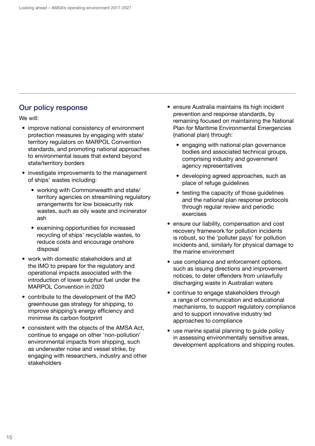### Our policy response

- improve national consistency of environment protection measures by engaging with state/ territory regulators on MARPOL Convention standards, and promoting national approaches to environmental issues that extend beyond state/territory borders
- investigate improvements to the management of ships' wastes including:
	- working with Commonwealth and state/ territory agencies on streamlining regulatory arrangements for low biosecurity risk wastes, such as oily waste and incinerator ash
	- examining opportunities for increased recycling of ships' recyclable wastes, to reduce costs and encourage onshore disposal
- work with domestic stakeholders and at the IMO to prepare for the regulatory and operational impacts associated with the introduction of lower sulphur fuel under the MARPOL Convention in 2020
- contribute to the development of the IMO greenhouse gas strategy for shipping, to improve shipping's energy efficiency and minimise its carbon footprint
- consistent with the objects of the AMSA Act, continue to engage on other 'non-pollution' environmental impacts from shipping, such as underwater noise and vessel strike, by engaging with researchers, industry and other stakeholders
- ensure Australia maintains its high incident prevention and response standards, by remaining focused on maintaining the National Plan for Maritime Environmental Emergencies (national plan) through:
	- engaging with national plan governance bodies and associated technical groups, comprising industry and government agency representatives
	- developing agreed approaches, such as place of refuge guidelines
	- testing the capacity of those quidelines and the national plan response protocols through regular review and periodic exercises
- ensure our liability, compensation and cost recovery framework for pollution incidents is robust, so the 'polluter pays' for pollution incidents and, similarly for physical damage to the marine environment
- use compliance and enforcement options, such as issuing directions and improvement notices, to deter offenders from unlawfully discharging waste in Australian waters
- continue to engage stakeholders through a range of communication and educational mechanisms, to support regulatory compliance and to support innovative industry led approaches to compliance
- use marine spatial planning to guide policy in assessing environmentally sensitive areas, development applications and shipping routes.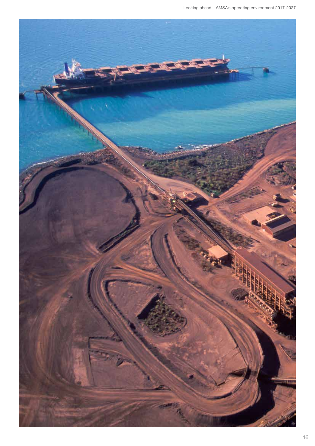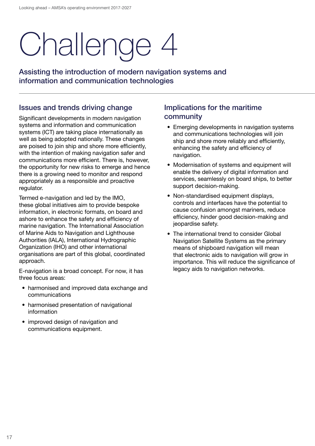Assisting the introduction of modern navigation systems and information and communication technologies

#### Issues and trends driving change

Significant developments in modern navigation systems and information and communication systems (ICT) are taking place internationally as well as being adopted nationally. These changes are poised to join ship and shore more efficiently, with the intention of making navigation safer and communications more efficient. There is, however, the opportunity for new risks to emerge and hence there is a growing need to monitor and respond appropriately as a responsible and proactive regulator.

Termed e-navigation and led by the IMO, these global initiatives aim to provide bespoke information, in electronic formats, on board and ashore to enhance the safety and efficiency of marine navigation. The International Association of Marine Aids to Navigation and Lighthouse Authorities (IALA), International Hydrographic Organization (IHO) and other international organisations are part of this global, coordinated approach.

E-navigation is a broad concept. For now, it has three focus areas:

- harmonised and improved data exchange and communications
- harmonised presentation of navigational information
- improved design of navigation and communications equipment.

### Implications for the maritime community

- Emerging developments in navigation systems and communications technologies will join ship and shore more reliably and efficiently, enhancing the safety and efficiency of navigation.
- Modernisation of systems and equipment will enable the delivery of digital information and services, seamlessly on board ships, to better support decision-making.
- Non-standardised equipment displays, controls and interfaces have the potential to cause confusion amongst mariners, reduce efficiency, hinder good decision-making and jeopardise safety.
- The international trend to consider Global Navigation Satellite Systems as the primary means of shipboard navigation will mean that electronic aids to navigation will grow in importance. This will reduce the significance of legacy aids to navigation networks.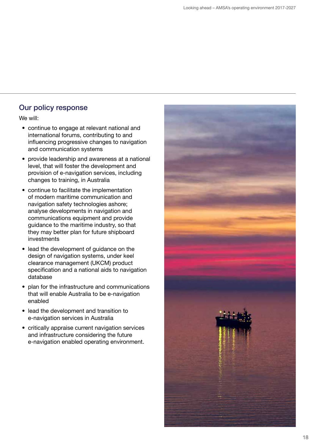### Our policy response

- continue to engage at relevant national and international forums, contributing to and influencing progressive changes to navigation and communication systems
- provide leadership and awareness at a national level, that will foster the development and provision of e-navigation services, including changes to training, in Australia
- continue to facilitate the implementation of modern maritime communication and navigation safety technologies ashore; analyse developments in navigation and communications equipment and provide guidance to the maritime industry, so that they may better plan for future shipboard investments
- lead the development of guidance on the design of navigation systems, under keel clearance management (UKCM) product specification and a national aids to navigation database
- plan for the infrastructure and communications that will enable Australia to be e-navigation enabled
- lead the development and transition to e-navigation services in Australia
- critically appraise current navigation services and infrastructure considering the future e-navigation enabled operating environment.

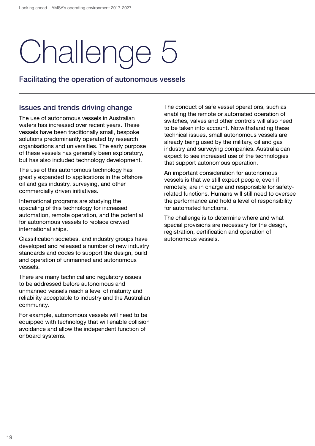Facilitating the operation of autonomous vessels

#### Issues and trends driving change

The use of autonomous vessels in Australian waters has increased over recent years. These vessels have been traditionally small, bespoke solutions predominantly operated by research organisations and universities. The early purpose of these vessels has generally been exploratory, but has also included technology development.

The use of this autonomous technology has greatly expanded to applications in the offshore oil and gas industry, surveying, and other commercially driven initiatives.

International programs are studying the upscaling of this technology for increased automation, remote operation, and the potential for autonomous vessels to replace crewed international ships.

Classification societies, and industry groups have developed and released a number of new industry standards and codes to support the design, build and operation of unmanned and autonomous vessels.

There are many technical and regulatory issues to be addressed before autonomous and unmanned vessels reach a level of maturity and reliability acceptable to industry and the Australian community.

For example, autonomous vessels will need to be equipped with technology that will enable collision avoidance and allow the independent function of onboard systems.

The conduct of safe vessel operations, such as enabling the remote or automated operation of switches, valves and other controls will also need to be taken into account. Notwithstanding these technical issues, small autonomous vessels are already being used by the military, oil and gas industry and surveying companies. Australia can expect to see increased use of the technologies that support autonomous operation.

An important consideration for autonomous vessels is that we still expect people, even if remotely, are in charge and responsible for safetyrelated functions. Humans will still need to oversee the performance and hold a level of responsibility for automated functions.

The challenge is to determine where and what special provisions are necessary for the design, registration, certification and operation of autonomous vessels.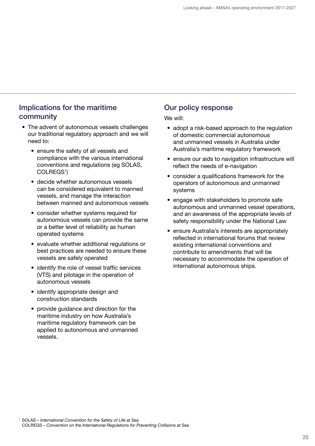### Implications for the maritime community

- The advent of autonomous vessels challenges our traditional regulatory approach and we will need to:
	- ensure the safety of all vessels and compliance with the various international conventions and regulations (eg SOLAS, COLREGS<sup>1</sup>)
	- decide whether autonomous vessels can be considered equivalent to manned vessels, and manage the interaction between manned and autonomous vessels
	- consider whether systems required for autonomous vessels can provide the same or a better level of reliability as human operated systems
	- evaluate whether additional regulations or best practices are needed to ensure these vessels are safely operated
	- identify the role of vessel traffic services (VTS) and pilotage in the operation of autonomous vessels
	- identify appropriate design and construction standards
	- provide guidance and direction for the maritime industry on how Australia's maritime regulatory framework can be applied to autonomous and unmanned vessels.

### Our policy response

- adopt a risk-based approach to the regulation of domestic commercial autonomous and unmanned vessels in Australia under Australia's maritime regulatory framework
- ensure our aids to navigation infrastructure will reflect the needs of e-navigation
- consider a qualifications framework for the operators of autonomous and unmanned systems
- engage with stakeholders to promote safe autonomous and unmanned vessel operations, and an awareness of the appropriate levels of safety responsibility under the National Law
- ensure Australia's interests are appropriately reflected in international forums that review existing international conventions and contribute to amendments that will be necessary to accommodate the operation of international autonomous ships.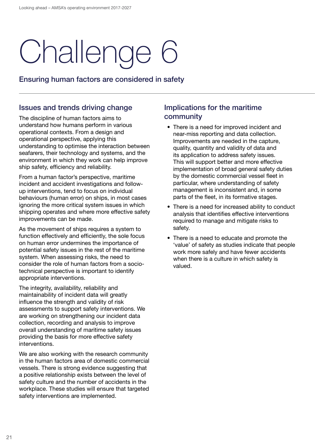Ensuring human factors are considered in safety

### Issues and trends driving change

The discipline of human factors aims to understand how humans perform in various operational contexts. From a design and operational perspective, applying this understanding to optimise the interaction between seafarers, their technology and systems, and the environment in which they work can help improve ship safety, efficiency and reliability.

From a human factor's perspective, maritime incident and accident investigations and followup interventions, tend to focus on individual behaviours (human error) on ships, in most cases ignoring the more critical system issues in which shipping operates and where more effective safety improvements can be made.

As the movement of ships requires a system to function effectively and efficiently, the sole focus on human error undermines the importance of potential safety issues in the rest of the maritime system. When assessing risks, the need to consider the role of human factors from a sociotechnical perspective is important to identify appropriate interventions.

The integrity, availability, reliability and maintainability of incident data will greatly influence the strength and validity of risk assessments to support safety interventions. We are working on strengthening our incident data collection, recording and analysis to improve overall understanding of maritime safety issues providing the basis for more effective safety interventions.

We are also working with the research community in the human factors area of domestic commercial vessels. There is strong evidence suggesting that a positive relationship exists between the level of safety culture and the number of accidents in the workplace. These studies will ensure that targeted safety interventions are implemented.

### Implications for the maritime community

- There is a need for improved incident and near-miss reporting and data collection. Improvements are needed in the capture, quality, quantity and validity of data and its application to address safety issues. This will support better and more effective implementation of broad general safety duties by the domestic commercial vessel fleet in particular, where understanding of safety management is inconsistent and, in some parts of the fleet, in its formative stages.
- There is a need for increased ability to conduct analysis that identifies effective interventions required to manage and mitigate risks to safety.
- There is a need to educate and promote the 'value' of safety as studies indicate that people work more safely and have fewer accidents when there is a culture in which safety is valued.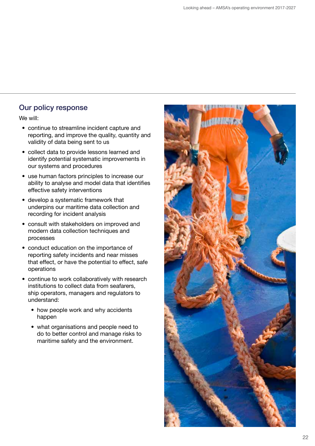#### Our policy response

- continue to streamline incident capture and reporting, and improve the quality, quantity and validity of data being sent to us
- collect data to provide lessons learned and identify potential systematic improvements in our systems and procedures
- use human factors principles to increase our ability to analyse and model data that identifies effective safety interventions
- develop a systematic framework that underpins our maritime data collection and recording for incident analysis
- consult with stakeholders on improved and modern data collection techniques and processes
- conduct education on the importance of reporting safety incidents and near misses that effect, or have the potential to effect, safe operations
- continue to work collaboratively with research institutions to collect data from seafarers, ship operators, managers and regulators to understand: • how people work and why accidents
	- happen
	- what organisations and people need to do to better control and manage risks to maritime safety and the environment.

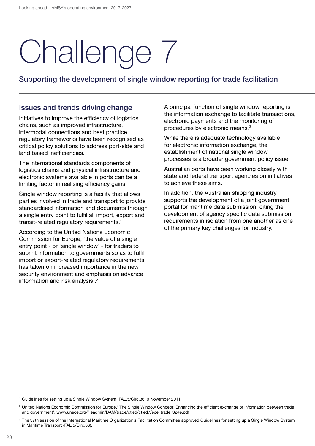Supporting the development of single window reporting for trade facilitation

#### Issues and trends driving change

Initiatives to improve the efficiency of logistics chains, such as improved infrastructure, intermodal connections and best practice regulatory frameworks have been recognised as critical policy solutions to address port-side and land based inefficiencies.

The international standards components of logistics chains and physical infrastructure and electronic systems available in ports can be a limiting factor in realising efficiency gains.

Single window reporting is a facility that allows parties involved in trade and transport to provide standardised information and documents through a single entry point to fulfil all import, export and transit-related regulatory requirements.<sup>1</sup>

According to the United Nations Economic Commission for Europe, 'the value of a single entry point - or 'single window' - for traders to submit information to governments so as to fulfil import or export-related regulatory requirements has taken on increased importance in the new security environment and emphasis on advance information and risk analysis'.2

A principal function of single window reporting is the information exchange to facilitate transactions, electronic payments and the monitoring of procedures by electronic means.3

While there is adequate technology available for electronic information exchange, the establishment of national single window processes is a broader government policy issue.

Australian ports have been working closely with state and federal transport agencies on initiatives to achieve these aims.

In addition, the Australian shipping industry supports the development of a joint government portal for maritime data submission, citing the development of agency specific data submission requirements in isolation from one another as one of the primary key challenges for industry.

<sup>1</sup> Guidelines for setting up a Single Window System, FAL.5/Circ.36, 9 November 2011

<sup>&</sup>lt;sup>2</sup> United Nations Economic Commission for Europe,' The Single Window Concept: Enhancing the efficient exchange of information between trade and government', www.unece.org/fileadmin/DAM/trade/ctied/ctied7/ece\_trade\_324e.pdf

<sup>&</sup>lt;sup>3</sup> The 37th session of the International Maritime Organization's Facilitation Committee approved Guidelines for setting up a Single Window System in Maritime Transport (FAL 5/Circ.36).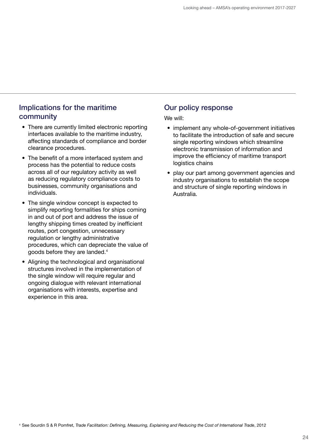### Implications for the maritime community

- There are currently limited electronic reporting interfaces available to the maritime industry, affecting standards of compliance and border clearance procedures.
- The benefit of a more interfaced system and process has the potential to reduce costs across all of our regulatory activity as well as reducing regulatory compliance costs to businesses, community organisations and individuals.
- The single window concept is expected to simplify reporting formalities for ships coming in and out of port and address the issue of lengthy shipping times created by inefficient routes, port congestion, unnecessary regulation or lengthy administrative procedures, which can depreciate the value of goods before they are landed.4
- Aligning the technological and organisational structures involved in the implementation of the single window will require regular and ongoing dialogue with relevant international organisations with interests, expertise and experience in this area.

### Our policy response

- implement any whole-of-government initiatives to facilitate the introduction of safe and secure single reporting windows which streamline electronic transmission of information and improve the efficiency of maritime transport logistics chains
- play our part among government agencies and industry organisations to establish the scope and structure of single reporting windows in Australia.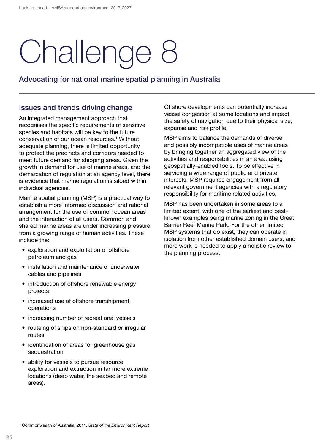Advocating for national marine spatial planning in Australia

#### Issues and trends driving change

An integrated management approach that recognises the specific requirements of sensitive species and habitats will be key to the future conservation of our ocean resources.<sup>1</sup> Without adequate planning, there is limited opportunity to protect the precincts and corridors needed to meet future demand for shipping areas. Given the growth in demand for use of marine areas, and the demarcation of regulation at an agency level, there is evidence that marine regulation is siloed within individual agencies.

Marine spatial planning (MSP) is a practical way to establish a more informed discussion and rational arrangement for the use of common ocean areas and the interaction of all users. Common and shared marine areas are under increasing pressure from a growing range of human activities. These include the:

- exploration and exploitation of offshore petroleum and gas
- installation and maintenance of underwater cables and pipelines
- introduction of offshore renewable energy projects
- increased use of offshore transhipment operations
- increasing number of recreational vessels
- routeing of ships on non-standard or irregular routes
- identification of areas for greenhouse gas sequestration
- ability for vessels to pursue resource exploration and extraction in far more extreme locations (deep water, the seabed and remote areas).

Offshore developments can potentially increase vessel congestion at some locations and impact the safety of navigation due to their physical size, expanse and risk profile.

MSP aims to balance the demands of diverse and possibly incompatible uses of marine areas by bringing together an aggregated view of the activities and responsibilities in an area, using geospatially-enabled tools. To be effective in servicing a wide range of public and private interests, MSP requires engagement from all relevant government agencies with a regulatory responsibility for maritime related activities.

MSP has been undertaken in some areas to a limited extent, with one of the earliest and bestknown examples being marine zoning in the Great Barrier Reef Marine Park. For the other limited MSP systems that do exist, they can operate in isolation from other established domain users, and more work is needed to apply a holistic review to the planning process.

<sup>1</sup> Commonwealth of Australia, 2011, *State of the Environment Report*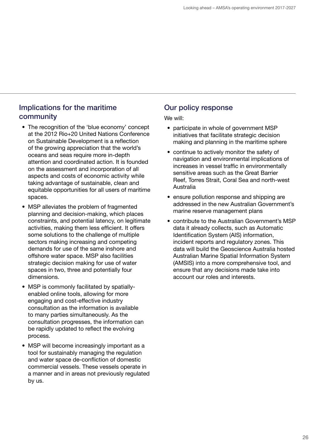### Implications for the maritime community

- The recognition of the 'blue economy' concept at the 2012 Rio+20 United Nations Conference on Sustainable Development is a reflection of the growing appreciation that the world's oceans and seas require more in-depth attention and coordinated action. It is founded on the assessment and incorporation of all aspects and costs of economic activity while taking advantage of sustainable, clean and equitable opportunities for all users of maritime spaces.
- MSP alleviates the problem of fragmented planning and decision-making, which places constraints, and potential latency, on legitimate activities, making them less efficient. It offers some solutions to the challenge of multiple sectors making increasing and competing demands for use of the same inshore and offshore water space. MSP also facilities strategic decision making for use of water spaces in two, three and potentially four dimensions.
- MSP is commonly facilitated by spatiallyenabled online tools, allowing for more engaging and cost-effective industry consultation as the information is available to many parties simultaneously. As the consultation progresses, the information can be rapidly updated to reflect the evolving process.
- MSP will become increasingly important as a tool for sustainably managing the regulation and water space de-confliction of domestic commercial vessels. These vessels operate in a manner and in areas not previously regulated by us.

### Our policy response

- participate in whole of government MSP initiatives that facilitate strategic decision making and planning in the maritime sphere
- continue to actively monitor the safety of navigation and environmental implications of increases in vessel traffic in environmentally sensitive areas such as the Great Barrier Reef, Torres Strait, Coral Sea and north-west Australia
- ensure pollution response and shipping are addressed in the new Australian Government's marine reserve management plans
- contribute to the Australian Government's MSP data it already collects, such as Automatic Identification System (AIS) information, incident reports and regulatory zones. This data will build the Geoscience Australia hosted Australian Marine Spatial Information System (AMSIS) into a more comprehensive tool, and ensure that any decisions made take into account our roles and interests.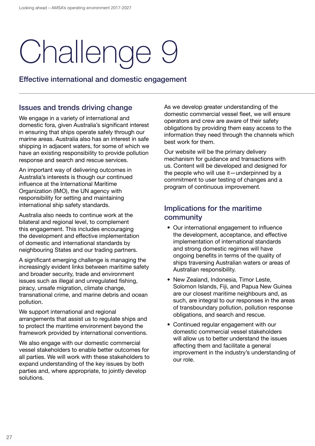Effective international and domestic engagement

#### Issues and trends driving change

We engage in a variety of international and domestic fora, given Australia's significant interest in ensuring that ships operate safely through our marine areas. Australia also has an interest in safe shipping in adjacent waters, for some of which we have an existing responsibility to provide pollution response and search and rescue services.

An important way of delivering outcomes in Australia's interests is though our continued influence at the International Maritime Organization (IMO), the UN agency with responsibility for setting and maintaining international ship safety standards.

Australia also needs to continue work at the bilateral and regional level, to complement this engagement. This includes encouraging the development and effective implementation of domestic and international standards by neighbouring States and our trading partners.

A significant emerging challenge is managing the increasingly evident links between maritime safety and broader security, trade and environment issues such as illegal and unregulated fishing, piracy, unsafe migration, climate change, transnational crime, and marine debris and ocean pollution.

We support international and regional arrangements that assist us to regulate ships and to protect the maritime environment beyond the framework provided by international conventions.

We also engage with our domestic commercial vessel stakeholders to enable better outcomes for all parties. We will work with these stakeholders to expand understanding of the key issues by both parties and, where appropriate, to jointly develop solutions.

As we develop greater understanding of the domestic commercial vessel fleet, we will ensure operators and crew are aware of their safety obligations by providing them easy access to the information they need through the channels which best work for them.

Our website will be the primary delivery mechanism for guidance and transactions with us. Content will be developed and designed for the people who will use it—underpinned by a commitment to user testing of changes and a program of continuous improvement.

### Implications for the maritime community

- Our international engagement to influence the development, acceptance, and effective implementation of international standards and strong domestic regimes will have ongoing benefits in terms of the quality of ships traversing Australian waters or areas of Australian responsibility.
- New Zealand, Indonesia, Timor Leste, Solomon Islands, Fiji, and Papua New Guinea are our closest maritime neighbours and, as such, are integral to our responses in the areas of transboundary pollution, pollution response obligations, and search and rescue.
- Continued regular engagement with our domestic commercial vessel stakeholders will allow us to better understand the issues affecting them and facilitate a general improvement in the industry's understanding of our role.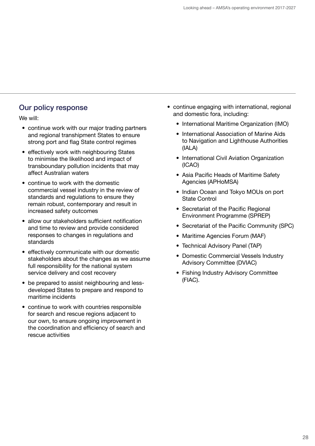### Our policy response

- continue work with our major trading partners and regional transhipment States to ensure strong port and flag State control regimes
- effectively work with neighbouring States to minimise the likelihood and impact of transboundary pollution incidents that may affect Australian waters
- continue to work with the domestic commercial vessel industry in the review of standards and regulations to ensure they remain robust, contemporary and result in increased safety outcomes
- allow our stakeholders sufficient notification and time to review and provide considered responses to changes in regulations and standards
- effectively communicate with our domestic stakeholders about the changes as we assume full responsibility for the national system service delivery and cost recovery
- be prepared to assist neighbouring and lessdeveloped States to prepare and respond to maritime incidents
- continue to work with countries responsible for search and rescue regions adjacent to our own, to ensure ongoing improvement in the coordination and efficiency of search and rescue activities
- continue engaging with international, regional and domestic fora, including:
	- International Maritime Organization (IMO)
	- International Association of Marine Aids to Navigation and Lighthouse Authorities (IALA)
	- International Civil Aviation Organization (ICAO)
	- Asia Pacific Heads of Maritime Safety Agencies (APHoMSA)
	- Indian Ocean and Tokyo MOUs on port State Control
	- Secretariat of the Pacific Regional Environment Programme (SPREP)
	- Secretariat of the Pacific Community (SPC)
	- Maritime Agencies Forum (MAF)
	- Technical Advisory Panel (TAP)
	- Domestic Commercial Vessels Industry Advisory Committee (DVIAC)
	- Fishing Industry Advisory Committee (FIAC).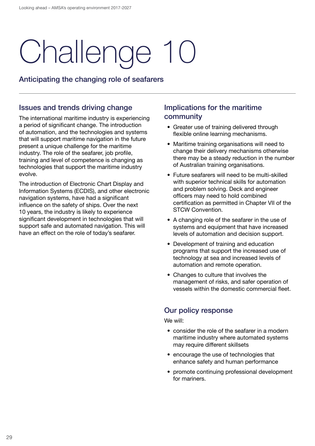Anticipating the changing role of seafarers

#### Issues and trends driving change

The international maritime industry is experiencing a period of significant change. The introduction of automation, and the technologies and systems that will support maritime navigation in the future present a unique challenge for the maritime industry. The role of the seafarer, job profile, training and level of competence is changing as technologies that support the maritime industry evolve.

The introduction of Electronic Chart Display and Information Systems (ECDIS), and other electronic navigation systems, have had a significant influence on the safety of ships. Over the next 10 years, the industry is likely to experience significant development in technologies that will support safe and automated navigation. This will have an effect on the role of today's seafarer.

### Implications for the maritime community

- Greater use of training delivered through flexible online learning mechanisms.
- Maritime training organisations will need to change their delivery mechanisms otherwise there may be a steady reduction in the number of Australian training organisations.
- Future seafarers will need to be multi-skilled with superior technical skills for automation and problem solving. Deck and engineer officers may need to hold combined certification as permitted in Chapter VII of the STCW Convention.
- A changing role of the seafarer in the use of systems and equipment that have increased levels of automation and decision support.
- Development of training and education programs that support the increased use of technology at sea and increased levels of automation and remote operation.
- Changes to culture that involves the management of risks, and safer operation of vessels within the domestic commercial fleet.

### Our policy response

- consider the role of the seafarer in a modern maritime industry where automated systems may require different skillsets
- encourage the use of technologies that enhance safety and human performance
- promote continuing professional development for mariners.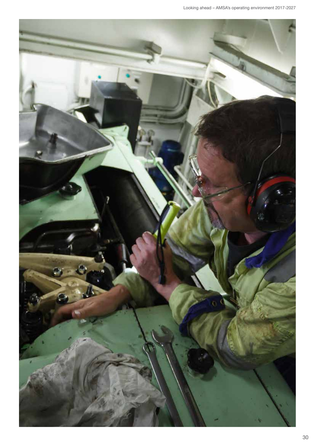